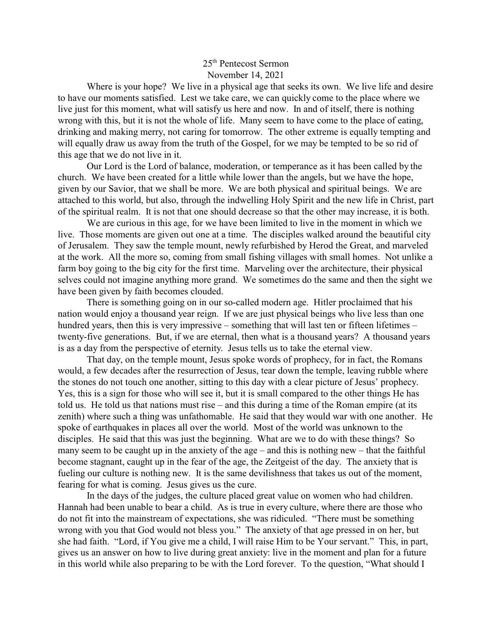## 25th Pentecost Sermon November 14, 2021

Where is your hope? We live in a physical age that seeks its own. We live life and desire to have our moments satisfied. Lest we take care, we can quickly come to the place where we live just for this moment, what will satisfy us here and now. In and of itself, there is nothing wrong with this, but it is not the whole of life. Many seem to have come to the place of eating, drinking and making merry, not caring for tomorrow. The other extreme is equally tempting and will equally draw us away from the truth of the Gospel, for we may be tempted to be so rid of this age that we do not live in it.

Our Lord is the Lord of balance, moderation, or temperance as it has been called by the church. We have been created for a little while lower than the angels, but we have the hope, given by our Savior, that we shall be more. We are both physical and spiritual beings. We are attached to this world, but also, through the indwelling Holy Spirit and the new life in Christ, part of the spiritual realm. It is not that one should decrease so that the other may increase, it is both.

We are curious in this age, for we have been limited to live in the moment in which we live. Those moments are given out one at a time. The disciples walked around the beautiful city of Jerusalem. They saw the temple mount, newly refurbished by Herod the Great, and marveled at the work. All the more so, coming from small fishing villages with small homes. Not unlike a farm boy going to the big city for the first time. Marveling over the architecture, their physical selves could not imagine anything more grand. We sometimes do the same and then the sight we have been given by faith becomes clouded.

There is something going on in our so-called modern age. Hitler proclaimed that his nation would enjoy a thousand year reign. If we are just physical beings who live less than one hundred years, then this is very impressive – something that will last ten or fifteen lifetimes – twenty-five generations. But, if we are eternal, then what is a thousand years? A thousand years is as a day from the perspective of eternity. Jesus tells us to take the eternal view.

That day, on the temple mount, Jesus spoke words of prophecy, for in fact, the Romans would, a few decades after the resurrection of Jesus, tear down the temple, leaving rubble where the stones do not touch one another, sitting to this day with a clear picture of Jesus' prophecy. Yes, this is a sign for those who will see it, but it is small compared to the other things He has told us. He told us that nations must rise – and this during a time of the Roman empire (at its zenith) where such a thing was unfathomable. He said that they would war with one another. He spoke of earthquakes in places all over the world. Most of the world was unknown to the disciples. He said that this was just the beginning. What are we to do with these things? So many seem to be caught up in the anxiety of the age – and this is nothing new – that the faithful become stagnant, caught up in the fear of the age, the Zeitgeist of the day. The anxiety that is fueling our culture is nothing new. It is the same devilishness that takes us out of the moment, fearing for what is coming. Jesus gives us the cure.

In the days of the judges, the culture placed great value on women who had children. Hannah had been unable to bear a child. As is true in every culture, where there are those who do not fit into the mainstream of expectations, she was ridiculed. "There must be something wrong with you that God would not bless you." The anxiety of that age pressed in on her, but she had faith. "Lord, if You give me a child, I will raise Him to be Your servant." This, in part, gives us an answer on how to live during great anxiety: live in the moment and plan for a future in this world while also preparing to be with the Lord forever. To the question, "What should I